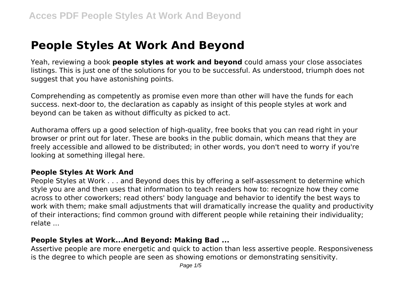# **People Styles At Work And Beyond**

Yeah, reviewing a book **people styles at work and beyond** could amass your close associates listings. This is just one of the solutions for you to be successful. As understood, triumph does not suggest that you have astonishing points.

Comprehending as competently as promise even more than other will have the funds for each success. next-door to, the declaration as capably as insight of this people styles at work and beyond can be taken as without difficulty as picked to act.

Authorama offers up a good selection of high-quality, free books that you can read right in your browser or print out for later. These are books in the public domain, which means that they are freely accessible and allowed to be distributed; in other words, you don't need to worry if you're looking at something illegal here.

#### **People Styles At Work And**

People Styles at Work . . . and Beyond does this by offering a self-assessment to determine which style you are and then uses that information to teach readers how to: recognize how they come across to other coworkers; read others' body language and behavior to identify the best ways to work with them; make small adjustments that will dramatically increase the quality and productivity of their interactions; find common ground with different people while retaining their individuality; relate ...

#### **People Styles at Work...And Beyond: Making Bad ...**

Assertive people are more energetic and quick to action than less assertive people. Responsiveness is the degree to which people are seen as showing emotions or demonstrating sensitivity.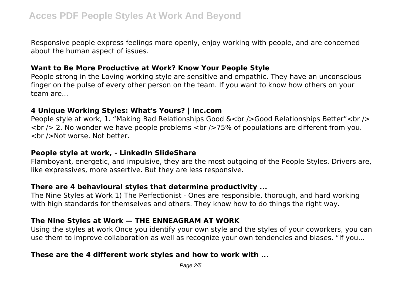Responsive people express feelings more openly, enjoy working with people, and are concerned about the human aspect of issues.

### **Want to Be More Productive at Work? Know Your People Style**

People strong in the Loving working style are sensitive and empathic. They have an unconscious finger on the pulse of every other person on the team. If you want to know how others on your team are...

## **4 Unique Working Styles: What's Yours? | Inc.com**

People style at work, 1. "Making Bad Relationships Good &<br />
Good Relationships Better"<br />
letters <a>  $\langle$   $\rangle$  /> 2. No wonder we have people problems  $\langle$  br />75% of populations are different from you. <br />Not worse. Not better.

#### **People style at work, - LinkedIn SlideShare**

Flamboyant, energetic, and impulsive, they are the most outgoing of the People Styles. Drivers are, like expressives, more assertive. But they are less responsive.

## **There are 4 behavioural styles that determine productivity ...**

The Nine Styles at Work 1) The Perfectionist - Ones are responsible, thorough, and hard working with high standards for themselves and others. They know how to do things the right way.

## **The Nine Styles at Work — THE ENNEAGRAM AT WORK**

Using the styles at work Once you identify your own style and the styles of your coworkers, you can use them to improve collaboration as well as recognize your own tendencies and biases. "If you...

## **These are the 4 different work styles and how to work with ...**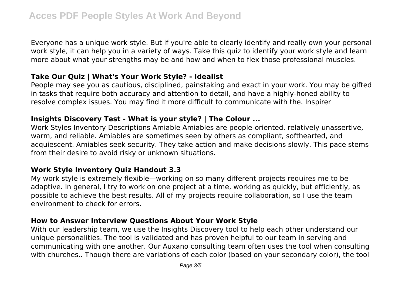Everyone has a unique work style. But if you're able to clearly identify and really own your personal work style, it can help you in a variety of ways. Take this quiz to identify your work style and learn more about what your strengths may be and how and when to flex those professional muscles.

## **Take Our Quiz | What's Your Work Style? - Idealist**

People may see you as cautious, disciplined, painstaking and exact in your work. You may be gifted in tasks that require both accuracy and attention to detail, and have a highly-honed ability to resolve complex issues. You may find it more difficult to communicate with the. Inspirer

## **Insights Discovery Test - What is your style? | The Colour ...**

Work Styles Inventory Descriptions Amiable Amiables are people-oriented, relatively unassertive, warm, and reliable. Amiables are sometimes seen by others as compliant, softhearted, and acquiescent. Amiables seek security. They take action and make decisions slowly. This pace stems from their desire to avoid risky or unknown situations.

## **Work Style Inventory Quiz Handout 3.3**

My work style is extremely flexible—working on so many different projects requires me to be adaptive. In general, I try to work on one project at a time, working as quickly, but efficiently, as possible to achieve the best results. All of my projects require collaboration, so I use the team environment to check for errors.

## **How to Answer Interview Questions About Your Work Style**

With our leadership team, we use the Insights Discovery tool to help each other understand our unique personalities. The tool is validated and has proven helpful to our team in serving and communicating with one another. Our Auxano consulting team often uses the tool when consulting with churches.. Though there are variations of each color (based on your secondary color), the tool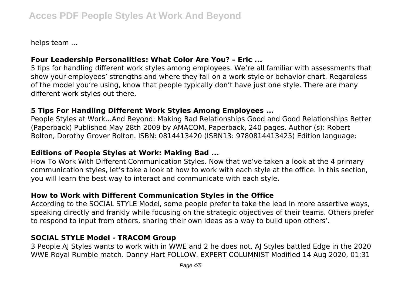helps team ...

## **Four Leadership Personalities: What Color Are You? – Eric ...**

5 tips for handling different work styles among employees. We're all familiar with assessments that show your employees' strengths and where they fall on a work style or behavior chart. Regardless of the model you're using, know that people typically don't have just one style. There are many different work styles out there.

#### **5 Tips For Handling Different Work Styles Among Employees ...**

People Styles at Work...And Beyond: Making Bad Relationships Good and Good Relationships Better (Paperback) Published May 28th 2009 by AMACOM. Paperback, 240 pages. Author (s): Robert Bolton, Dorothy Grover Bolton. ISBN: 0814413420 (ISBN13: 9780814413425) Edition language:

## **Editions of People Styles at Work: Making Bad ...**

How To Work With Different Communication Styles. Now that we've taken a look at the 4 primary communication styles, let's take a look at how to work with each style at the office. In this section, you will learn the best way to interact and communicate with each style.

## **How to Work with Different Communication Styles in the Office**

According to the SOCIAL STYLE Model, some people prefer to take the lead in more assertive ways, speaking directly and frankly while focusing on the strategic objectives of their teams. Others prefer to respond to input from others, sharing their own ideas as a way to build upon others'.

## **SOCIAL STYLE Model - TRACOM Group**

3 People AJ Styles wants to work with in WWE and 2 he does not. AJ Styles battled Edge in the 2020 WWE Royal Rumble match. Danny Hart FOLLOW. EXPERT COLUMNIST Modified 14 Aug 2020, 01:31